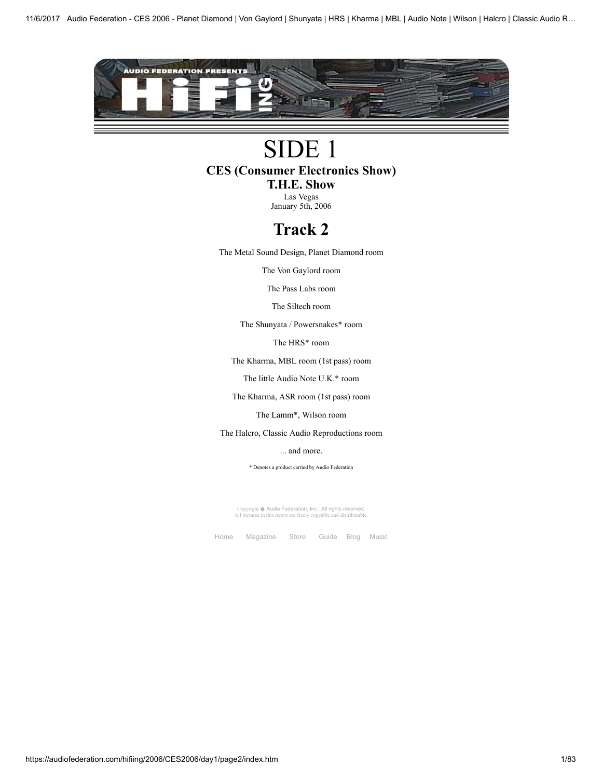

## SIDE 1 CES (Consumer Electronics Show) T.H.E. Show Las Vegas

January 5th, 2006

## Track 2

The Metal Sound Design, Planet Diamond room

The Von Gaylord room

The Pass Labs room

The Siltech room

The Shunyata / Powersnakes\* room

The HRS\* room

The Kharma, MBL room (1st pass) room

The little Audio Note U.K.\* room

The Kharma, ASR room (1st pass) room

The Lamm\*, Wilson room

The Halcro, Classic Audio Reproductions room

... and more.

\* Denotes a product carried by Audio Federation

Copyright � Audio Federation, Inc.. All rights reserved. All pictures in this report are freely copyable and distributable.

[Home](http://www.audiofederation.com/) [Magazine](http://www.audiofederation.com/hifiing/2006) [Store](http://www.audiofederation.com/dealership) [Guide](http://www.audiofederation.com/catalog) [Blog](http://www.audiofederation.com/blog) [Music](http://www.audiofederation.com/music)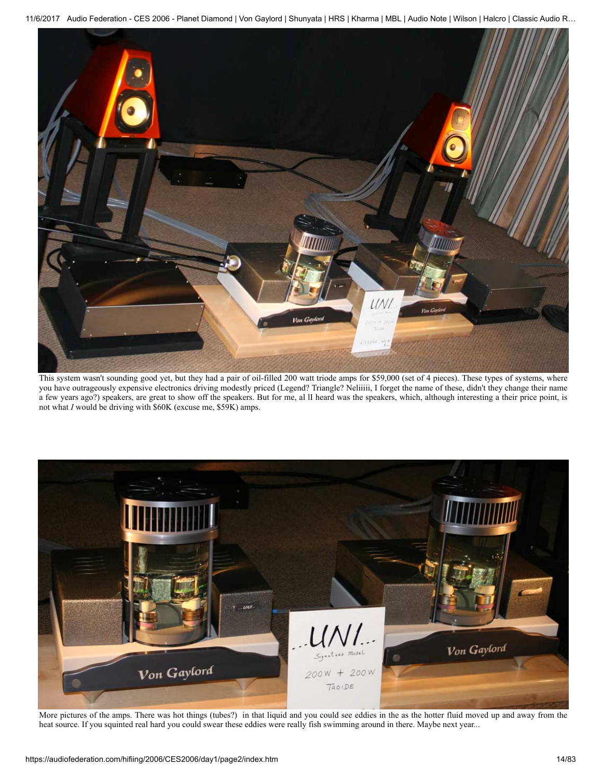

This system wasn't sounding good yet, but they had a pair of oil-filled 200 watt triode amps for \$59,000 (set of 4 pieces). These types of systems, where you have outrageously expensive electronics driving modestly priced (Legend? Triangle? Neliiiii, I forget the name of these, didn't they change their name a few years ago?) speakers, are great to show off the speakers. But for me, al lI heard was the speakers, which, although interesting a their price point, is not what *I* would be driving with \$60K (excuse me, \$59K) amps.



More pictures of the amps. There was hot things (tubes?) in that liquid and you could see eddies in the as the hotter fluid moved up and away from the heat source. If you squinted real hard you could swear these eddies were really fish swimming around in there. Maybe next year...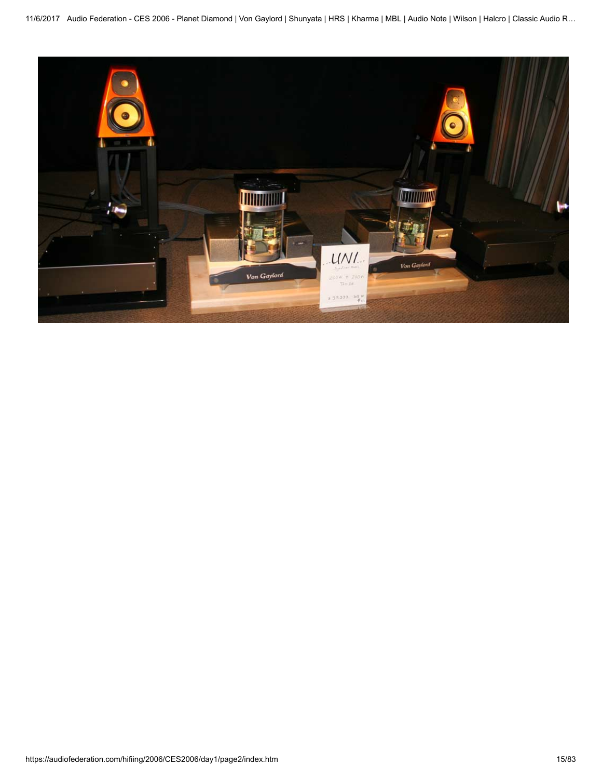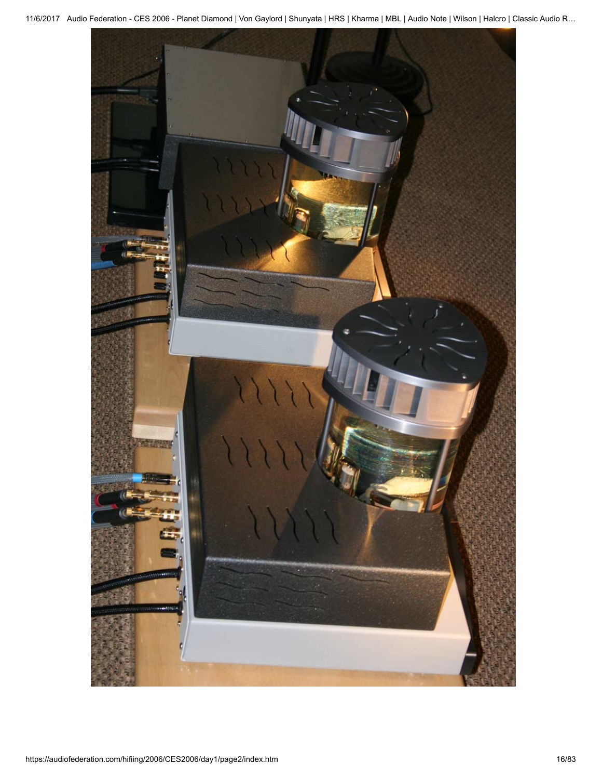11/6/2017 Audio Federation - CES 2006 - Planet Diamond | Von Gaylord | Shunyata | HRS | Kharma | MBL | Audio Note | Wilson | Halcro | Classic Audio R…

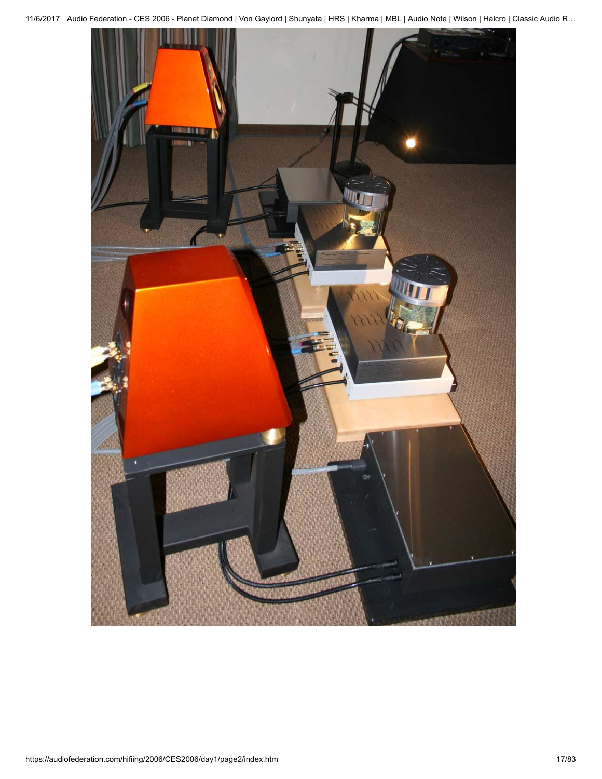11/6/2017 Audio Federation - CES 2006 - Planet Diamond | Von Gaylord | Shunyata | HRS | Kharma | MBL | Audio Note | Wilson | Halcro | Classic Audio R…